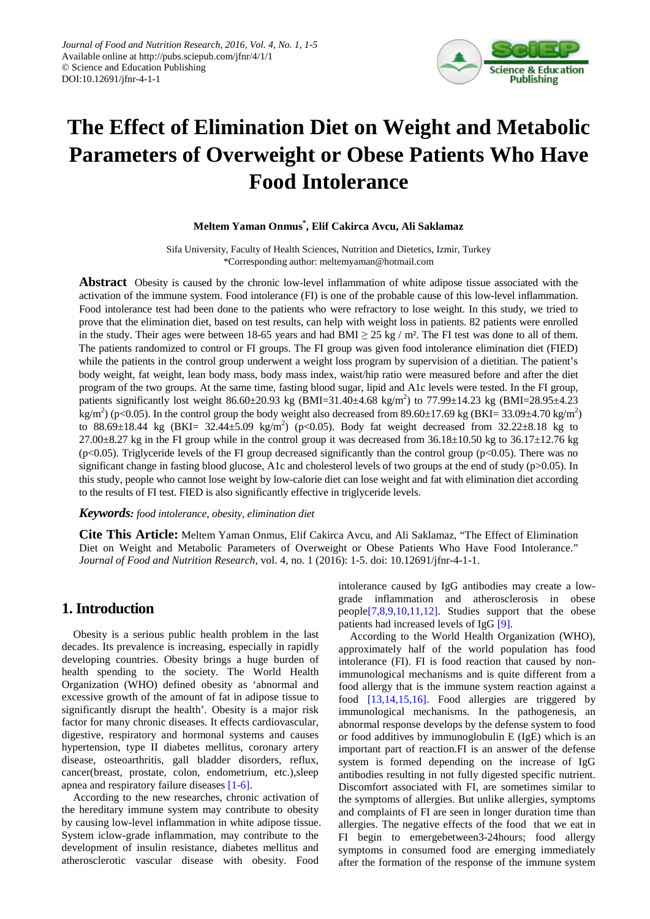

# **The Effect of Elimination Diet on Weight and Metabolic Parameters of Overweight or Obese Patients Who Have Food Intolerance**

## **Meltem Yaman Onmus\* , Elif Cakirca Avcu, Ali Saklamaz**

Sifa University, Faculty of Health Sciences, Nutrition and Dietetics, Izmir, Turkey \*Corresponding author: meltemyaman@hotmail.com

**Abstract** Obesity is caused by the chronic low-level inflammation of white adipose tissue associated with the activation of the immune system. Food intolerance (FI) is one of the probable cause of this low-level inflammation. Food intolerance test had been done to the patients who were refractory to lose weight. In this study, we tried to prove that the elimination diet, based on test results, can help with weight loss in patients. 82 patients were enrolled in the study. Their ages were between 18-65 years and had BMI  $\geq$  25 kg / m<sup>2</sup>. The FI test was done to all of them. The patients randomized to control or FI groups. The FI group was given food intolerance elimination diet (FIED) while the patients in the control group underwent a weight loss program by supervision of a dietitian. The patient's body weight, fat weight, lean body mass, body mass index, waist/hip ratio were measured before and after the diet program of the two groups. At the same time, fasting blood sugar, lipid and A1c levels were tested. In the FI group, patients significantly lost weight  $86.60 \pm 20.93$  kg (BMI=31.40 $\pm$ 4.68 kg/m<sup>2</sup>) to 77.99 $\pm$ 14.23 kg (BMI=28.95 $\pm$ 4.23 kg/m<sup>2</sup>) (p<0.05). In the control group the body weight also decreased from 89.60±17.69 kg (BKI= 33.09±4.70 kg/m<sup>2</sup>) to 88.69 $\pm$ 18.44 kg (BKI= 32.44 $\pm$ 5.09 kg/m<sup>2</sup>) (p<0.05). Body fat weight decreased from 32.22 $\pm$ 8.18 kg to  $27.00\pm8.27$  kg in the FI group while in the control group it was decreased from 36.18 $\pm$ 10.50 kg to 36.17 $\pm$ 12.76 kg  $(p<0.05)$ . Triglyceride levels of the FI group decreased significantly than the control group ( $p<0.05$ ). There was no significant change in fasting blood glucose, A1c and cholesterol levels of two groups at the end of study (p>0.05). In this study, people who cannot lose weight by low-calorie diet can lose weight and fat with elimination diet according to the results of FI test. FIED is also significantly effective in triglyceride levels.

#### *Keywords: food intolerance, obesity, elimination diet*

**Cite This Article:** Meltem Yaman Onmus, Elif Cakirca Avcu, and Ali Saklamaz, "The Effect of Elimination Diet on Weight and Metabolic Parameters of Overweight or Obese Patients Who Have Food Intolerance." *Journal of Food and Nutrition Research*, vol. 4, no. 1 (2016): 1-5. doi: 10.12691/jfnr-4-1-1.

# **1.Introduction**

Obesity is a serious public health problem in the last decades. Its prevalence is increasing, especially in rapidly developing countries. Obesity brings a huge burden of health spending to the society. The World Health Organization (WHO) defined obesity as 'abnormal and excessive growth of the amount of fat in adipose tissue to significantly disrupt the health'. Obesity is a major risk factor for many chronic diseases. It effects cardiovascular, digestive, respiratory and hormonal systems and causes hypertension, type II diabetes mellitus, coronary artery disease, osteoarthritis, gall bladder disorders, reflux, cancer(breast, prostate, colon, endometrium, etc.),sleep apnea and respiratory failure diseases [\[1-6\].](#page-3-0)

According to the new researches, chronic activation of the hereditary immune system may contribute to obesity by causing low-level inflammation in white adipose tissue. System iclow-grade inflammation, may contribute to the development of insulin resistance, diabetes mellitus and atherosclerotic vascular disease with obesity. Food

intolerance caused by IgG antibodies may create a lowgrade inflammation and atherosclerosis in obese peopl[e\[7,8,9,10,11,12\].](#page-3-1) Studies support that the obese patients had increased levels of IgG [\[9\].](#page-3-2)

According to the World Health Organization (WHO), approximately half of the world population has food intolerance (FI). FI is food reaction that caused by nonimmunological mechanisms and is quite different from a food allergy that is the immune system reaction against a food [\[13,14,15,16\].](#page-3-3) Food allergies are triggered by immunological mechanisms. In the pathogenesis, an abnormal response develops by the defense system to food or food additives by immunoglobulin E (IgE) which is an important part of reaction.FI is an answer of the defense system is formed depending on the increase of IgG antibodies resulting in not fully digested specific nutrient. Discomfort associated with FI, are sometimes similar to the symptoms of allergies. But unlike allergies, symptoms and complaints of FI are seen in longer duration time than allergies. The negative effects of the food that we eat in FI begin to emergebetween3-24hours; food allergy symptoms in consumed food are emerging immediately after the formation of the response of the immune system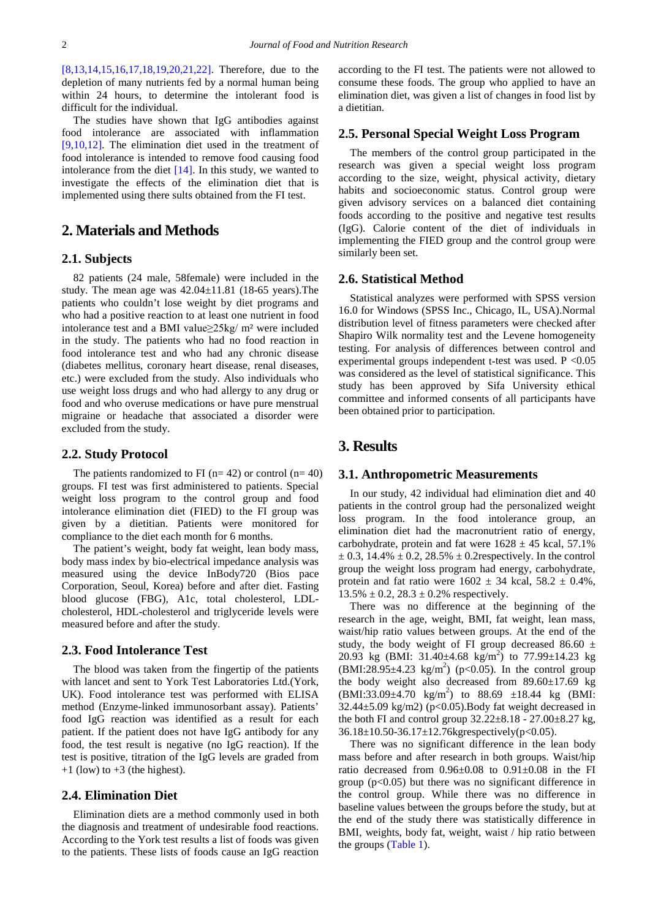[\[8,13,14,15,16,17,18,19,20,21,22\].](#page-3-4) Therefore, due to the depletion of many nutrients fed by a normal human being within 24 hours, to determine the intolerant food is difficult for the individual.

The studies have shown that IgG antibodies against food intolerance are associated with inflammation [\[9,10,12\].](#page-3-2) The elimination diet used in the treatment of food intolerance is intended to remove food causing food intolerance from the diet [\[14\].](#page-3-5) In this study, we wanted to investigate the effects of the elimination diet that is implemented using there sults obtained from the FI test.

# **2. Materials and Methods**

## **2.1. Subjects**

82 patients (24 male, 58female) were included in the study. The mean age was  $42.04 \pm 11.81$  (18-65 years). The patients who couldn't lose weight by diet programs and who had a positive reaction to at least one nutrient in food intolerance test and a BMI value≥25kg/ m² were included in the study. The patients who had no food reaction in food intolerance test and who had any chronic disease (diabetes mellitus, coronary heart disease, renal diseases, etc.) were excluded from the study. Also individuals who use weight loss drugs and who had allergy to any drug or food and who overuse medications or have pure menstrual migraine or headache that associated a disorder were excluded from the study.

#### **2.2. Study Protocol**

The patients randomized to FI ( $n= 42$ ) or control ( $n= 40$ ) groups. FI test was first administered to patients. Special weight loss program to the control group and food intolerance elimination diet (FIED) to the FI group was given by a dietitian. Patients were monitored for compliance to the diet each month for 6 months.

The patient's weight, body fat weight, lean body mass, body mass index by bio-electrical impedance analysis was measured using the device InBody720 (Bios pace Corporation, Seoul, Korea) before and after diet. Fasting blood glucose (FBG), A1c, total cholesterol, LDLcholesterol, HDL-cholesterol and triglyceride levels were measured before and after the study.

## **2.3. Food Intolerance Test**

The blood was taken from the fingertip of the patients with lancet and sent to York Test Laboratories Ltd.(York, UK). Food intolerance test was performed with ELISA method (Enzyme-linked immunosorbant assay). Patients' food IgG reaction was identified as a result for each patient. If the patient does not have IgG antibody for any food, the test result is negative (no IgG reaction). If the test is positive, titration of the IgG levels are graded from  $+1$  (low) to  $+3$  (the highest).

#### **2.4. Elimination Diet**

Elimination diets are a method commonly used in both the diagnosis and treatment of undesirable food reactions. According to the York test results a list of foods was given to the patients. These lists of foods cause an IgG reaction according to the FI test. The patients were not allowed to consume these foods. The group who applied to have an elimination diet, was given a list of changes in food list by a dietitian.

### **2.5. Personal Special Weight Loss Program**

The members of the control group participated in the research was given a special weight loss program according to the size, weight, physical activity, dietary habits and socioeconomic status. Control group were given advisory services on a balanced diet containing foods according to the positive and negative test results (IgG). Calorie content of the diet of individuals in implementing the FIED group and the control group were similarly been set.

### **2.6. Statistical Method**

Statistical analyzes were performed with SPSS version 16.0 for Windows (SPSS Inc., Chicago, IL, USA).Normal distribution level of fitness parameters were checked after Shapiro Wilk normality test and the Levene homogeneity testing. For analysis of differences between control and experimental groups independent t-test was used.  $P < 0.05$ was considered as the level of statistical significance. This study has been approved by Sifa University ethical committee and informed consents of all participants have been obtained prior to participation.

## **3. Results**

#### **3.1. Anthropometric Measurements**

In our study, 42 individual had elimination diet and 40 patients in the control group had the personalized weight loss program. In the food intolerance group, an elimination diet had the macronutrient ratio of energy, carbohydrate, protein and fat were  $1628 \pm 45$  kcal, 57.1%  $\pm$  0.3, 14.4%  $\pm$  0.2, 28.5%  $\pm$  0.2 respectively. In the control group the weight loss program had energy, carbohydrate, protein and fat ratio were  $1602 \pm 34$  kcal,  $58.2 \pm 0.4\%$ ,  $13.5\% \pm 0.2$ ,  $28.3 \pm 0.2\%$  respectively.

There was no difference at the beginning of the research in the age, weight, BMI, fat weight, lean mass, waist/hip ratio values between groups. At the end of the study, the body weight of FI group decreased 86.60  $\pm$ 20.93 kg (BMI: 31.40 $\pm$ 4.68 kg/m<sup>2</sup>) to 77.99 $\pm$ 14.23 kg  $(BMI:28.95 \pm 4.23 \text{ kg/m}^2)$  (p<0.05). In the control group the body weight also decreased from  $89.60 \pm 17.69$  kg  $(BMI:33.09 \pm 4.70 \text{ kg/m}^2)$  to 88.69  $\pm 18.44 \text{ kg}$  (BMI:  $32.44\pm5.09$  kg/m2) (p<0.05). Body fat weight decreased in the both FI and control group  $32.22 \pm 8.18 - 27.00 \pm 8.27$  kg,  $36.18 \pm 10.50 - 36.17 \pm 12.76$  kgrespectively(p<0.05).

There was no significant difference in the lean body mass before and after research in both groups. Waist/hip ratio decreased from 0.96±0.08 to 0.91±0.08 in the FI group  $(p<0.05)$  but there was no significant difference in the control group. While there was no difference in baseline values between the groups before the study, but at the end of the study there was statistically difference in BMI, weights, body fat, weight, waist / hip ratio between the groups [\(Table 1\)](#page-2-0).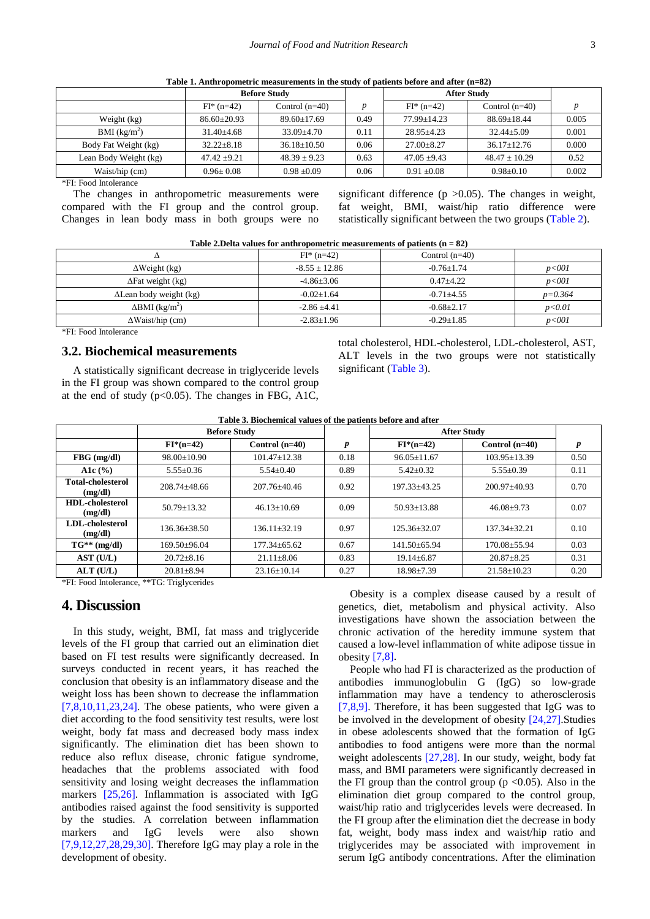<span id="page-2-0"></span>

|                       | <b>Before Study</b> |                  |      | <b>After Study</b> |                   |       |
|-----------------------|---------------------|------------------|------|--------------------|-------------------|-------|
|                       | $FI^*(n=42)$        | Control $(n=40)$ | D    | $FI^*(n=42)$       | Control $(n=40)$  |       |
| Weight (kg)           | $86.60 + 20.93$     | $89.60 + 17.69$  | 0.49 | $77.99 + 14.23$    | $88.69 + 18.44$   | 0.005 |
| BMI $(kg/m^2)$        | $31.40 + 4.68$      | $33.09 + 4.70$   | 0.11 | $28.95 + 4.23$     | $32.44 + 5.09$    | 0.001 |
| Body Fat Weight (kg)  | $32.22 + 8.18$      | $36.18 + 10.50$  | 0.06 | $27.00 + 8.27$     | $36.17 + 12.76$   | 0.000 |
| Lean Body Weight (kg) | $47.42 + 9.21$      | $48.39 + 9.23$   | 0.63 | $47.05 + 9.43$     | $48.47 \pm 10.29$ | 0.52  |
| Waist/hip (cm)        | $0.96 \pm 0.08$     | $0.98 \pm 0.09$  | 0.06 | $0.91 \pm 0.08$    | $0.98 \pm 0.10$   | 0.002 |

**Table 1. Anthropometric measurements in the study of patients before and after (n=82)**

\*FI: Food Intolerance

The changes in anthropometric measurements were compared with the FI group and the control group. Changes in lean body mass in both groups were no significant difference ( $p > 0.05$ ). The changes in weight, fat weight, BMI, waist/hip ratio difference were statistically significant between the two groups [\(Table 2\)](#page-2-1).

<span id="page-2-1"></span>

| Table 2. Delta values for anthropometric measurements of patients $(n = 82)$ |                  |                  |           |  |
|------------------------------------------------------------------------------|------------------|------------------|-----------|--|
|                                                                              | $FI^*(n=42)$     | Control $(n=40)$ |           |  |
| $\Delta$ Weight (kg)                                                         | $-8.55 + 12.86$  | $-0.76 + 1.74$   | $p001$    |  |
| $\Delta$ Fat weight (kg)                                                     | $-4.86 \pm 3.06$ | $0.47 + 4.22$    | p<001     |  |
| $\Delta$ Lean body weight (kg)                                               | $-0.02 \pm 1.64$ | $-0.71 + 4.55$   | $p=0.364$ |  |
| $\Delta$ BMI (kg/m <sup>2</sup> )                                            | $-2.86 \pm 4.41$ | $-0.68 \pm 2.17$ | p < 0.01  |  |
| $\Delta$ Waist/hip (cm)                                                      | $-2.83 \pm 1.96$ | $-0.29 \pm 1.85$ | p<001     |  |

\*FI: Food Intolerance

### **3.2. Biochemical measurements**

A statistically significant decrease in triglyceride levels in the FI group was shown compared to the control group at the end of study ( $p<0.05$ ). The changes in FBG, A1C, total cholesterol, HDL-cholesterol, LDL-cholesterol, AST, ALT levels in the two groups were not statistically significant [\(Table 3\)](#page-2-2).

| Table 3. Biochemical values of the patients before and after |  |
|--------------------------------------------------------------|--|
|                                                              |  |

<span id="page-2-2"></span>

|                                     | <b>Before Study</b> |                   |      | <b>After Study</b> |                   |      |
|-------------------------------------|---------------------|-------------------|------|--------------------|-------------------|------|
|                                     | $FI*(n=42)$         | Control $(n=40)$  | p    | $FI*(n=42)$        | Control $(n=40)$  | p    |
| $FBG$ (mg/dl)                       | $98.00 \pm 10.90$   | $101.47 + 12.38$  | 0.18 | $96.05 \pm 11.67$  | $103.95 + 13.39$  | 0.50 |
| A1c $(% )$                          | $5.55 \pm 0.36$     | $5.54 \pm 0.40$   | 0.89 | $5.42 \pm 0.32$    | $5.55 \pm 0.39$   | 0.11 |
| <b>Total-cholesterol</b><br>(mg/dl) | $208.74 + 48.66$    | $207.76 + 40.46$  | 0.92 | 197.33+43.25       | $200.97 + 40.93$  | 0.70 |
| <b>HDL-cholesterol</b><br>(mg/dl)   | $50.79 + 13.32$     | $46.13+10.69$     | 0.09 | $50.93 + 13.88$    | $46.08+9.73$      | 0.07 |
| LDL-cholesterol<br>(mg/dl)          | $136.36 + 38.50$    | $136.11 + 32.19$  | 0.97 | $125.36 + 32.07$   | $137.34 + 32.21$  | 0.10 |
| $TG^{**}$ (mg/dl)                   | $169.50\pm96.04$    | $177.34 + 65.62$  | 0.67 | $141.50 \pm 65.94$ | 170.08+55.94      | 0.03 |
| AST (U/L)                           | $20.72 + 8.16$      | $21.11 + 8.06$    | 0.83 | $19.14 + 6.87$     | $20.87 + 8.25$    | 0.31 |
| $ALT$ (U/L)                         | $20.81 \pm 8.94$    | $23.16 \pm 10.14$ | 0.27 | $18.98 \pm 7.39$   | $21.58 \pm 10.23$ | 0.20 |

\*FI: Food Intolerance, \*\*TG: Triglycerides

### **4. Discussion**

In this study, weight, BMI, fat mass and triglyceride levels of the FI group that carried out an elimination diet based on FI test results were significantly decreased. In surveys conducted in recent years, it has reached the conclusion that obesity is an inflammatory disease and the weight loss has been shown to decrease the inflammation  $[7,8,10,11,23,24]$ . The obese patients, who were given a diet according to the food sensitivity test results, were lost weight, body fat mass and decreased body mass index significantly. The elimination diet has been shown to reduce also reflux disease, chronic fatigue syndrome, headaches that the problems associated with food sensitivity and losing weight decreases the inflammation markers [\[25,26\].](#page-4-0) Inflammation is associated with IgG antibodies raised against the food sensitivity is supported by the studies. A correlation between inflammation markers and IgG levels were also shown [\[7,9,12,27,28,29,30\].](#page-3-1) Therefore IgG may play a role in the development of obesity.

Obesity is a complex disease caused by a result of genetics, diet, metabolism and physical activity. Also investigations have shown the association between the chronic activation of the heredity immune system that caused a low-level inflammation of white adipose tissue in obesity [\[7,8\].](#page-3-1)

People who had FI is characterized as the production of antibodies immunoglobulin G (IgG) so low-grade inflammation may have a tendency to atherosclerosis [\[7,8,9\].](#page-3-1) Therefore, it has been suggested that IgG was to be involved in the development of obesity [\[24,27\].](#page-3-6)Studies in obese adolescents showed that the formation of IgG antibodies to food antigens were more than the normal weight adolescents [\[27,28\].](#page-4-1) In our study, weight, body fat mass, and BMI parameters were significantly decreased in the FI group than the control group ( $p \le 0.05$ ). Also in the elimination diet group compared to the control group, waist/hip ratio and triglycerides levels were decreased. In the FI group after the elimination diet the decrease in body fat, weight, body mass index and waist/hip ratio and triglycerides may be associated with improvement in serum IgG antibody concentrations. After the elimination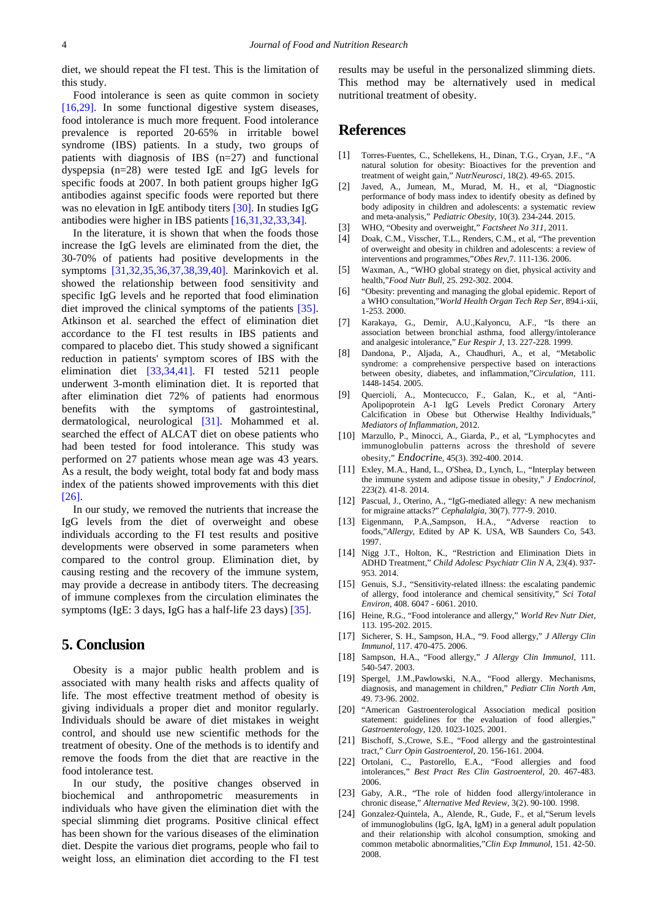diet, we should repeat the FI test. This is the limitation of this study.

Food intolerance is seen as quite common in society [\[16,29\].](#page-3-7) In some functional digestive system diseases, food intolerance is much more frequent. Food intolerance prevalence is reported 20-65% in irritable bowel syndrome (IBS) patients. In a study, two groups of patients with diagnosis of IBS (n=27) and functional dyspepsia (n=28) were tested IgE and IgG levels for specific foods at 2007. In both patient groups higher IgG antibodies against specific foods were reported but there was no elevation in IgE antibody titers [\[30\].](#page-4-2) In studies IgG antibodies were higher in IBS patients [\[16,31,32,33,34\].](#page-3-7)

In the literature, it is shown that when the foods those increase the IgG levels are eliminated from the diet, the 30-70% of patients had positive developments in the symptoms [\[31,32,35,36,37,38,39,40\].](#page-4-3) Marinkovich et al. showed the relationship between food sensitivity and specific IgG levels and he reported that food elimination diet improved the clinical symptoms of the patients [\[35\].](#page-4-4) Atkinson et al. searched the effect of elimination diet accordance to the FI test results in IBS patients and compared to placebo diet. This study showed a significant reduction in patients' symptom scores of IBS with the elimination diet [\[33,34,41\].](#page-4-5) FI tested 5211 people underwent 3-month elimination diet. It is reported that after elimination diet 72% of patients had enormous benefits with the symptoms of gastrointestinal, dermatological, neurological [\[31\].](#page-4-3) Mohammed et al. searched the effect of ALCAT diet on obese patients who had been tested for food intolerance. This study was performed on 27 patients whose mean age was 43 years. As a result, the body weight, total body fat and body mass index of the patients showed improvements with this diet [\[26\].](#page-4-6)

In our study, we removed the nutrients that increase the IgG levels from the diet of overweight and obese individuals according to the FI test results and positive developments were observed in some parameters when compared to the control group. Elimination diet, by causing resting and the recovery of the immune system, may provide a decrease in antibody titers. The decreasing of immune complexes from the circulation eliminates the symptoms (IgE: 3 days, IgG has a half-life 23 days) [\[35\].](#page-4-4)

# **5. Conclusion**

Obesity is a major public health problem and is associated with many health risks and affects quality of life. The most effective treatment method of obesity is giving individuals a proper diet and monitor regularly. Individuals should be aware of diet mistakes in weight control, and should use new scientific methods for the treatment of obesity. One of the methods is to identify and remove the foods from the diet that are reactive in the food intolerance test.

In our study, the positive changes observed in biochemical and anthropometric measurements in individuals who have given the elimination diet with the special slimming diet programs. Positive clinical effect has been shown for the various diseases of the elimination diet. Despite the various diet programs, people who fail to weight loss, an elimination diet according to the FI test results may be useful in the personalized slimming diets. This method may be alternatively used in medical nutritional treatment of obesity.

# **References**

- <span id="page-3-0"></span>[1] Torres-Fuentes, C., Schellekens, H., Dinan, T.G., Cryan, J.F., "A natural solution for obesity: Bioactives for the prevention and treatment of weight gain," *NutrNeurosci,* 18(2). 49-65. 2015.
- [2] Javed, A., Jumean, M., Murad, M. H., et al, "Diagnostic performance of body mass index to identify obesity as defined by body adiposity in children and adolescents: a systematic review and meta‐analysis," *Pediatric Obesity,* 10(3). 234-244. 2015.
- [3] WHO, "Obesity and overweight," *Factsheet No 311,* 2011.
- [4] Doak, C.M., Visscher, T.L., Renders, C.M., et al, "The prevention of overweight and obesity in children and adolescents: a review of interventions and programmes,"*Obes Rev,*7. 111-136. 2006.
- [5] Waxman, A., "WHO global strategy on diet, physical activity and health,"*Food Nutr Bull*, 25. 292-302. 2004.
- [6] "Obesity: preventing and managing the global epidemic. Report of a WHO consultation,"*World Health Organ Tech Rep Ser*, 894.i-xii, 1-253. 2000.
- <span id="page-3-1"></span>[7] Karakaya, G., Demir, A.U.,Kalyoncu, A.F., "Is there an association between bronchial asthma, food allergy/intolerance and analgesic intolerance," *Eur Respir J*, 13. 227-228. 1999.
- <span id="page-3-4"></span>[8] Dandona, P., Aljada, A., Chaudhuri, A., et al, "Metabolic syndrome: a comprehensive perspective based on interactions between obesity, diabetes, and inflammation,"*Circulation*, 111. 1448-1454. 2005.
- <span id="page-3-2"></span>[9] Quercioli, A., Montecucco, F., Galan, K., et al, "Anti-Apolipoprotein A-1 IgG Levels Predict Coronary Artery Calcification in Obese but Otherwise Healthy Individuals, *Mediators of Inflammation*, 2012.
- [10] Marzullo, P., Minocci, A., Giarda, P., et al, "Lymphocytes and immunoglobulin patterns across the threshold of severe obesity," *Endocrin*e, 45(3). 392-400. 2014.
- [11] Exley, M.A., Hand, L., O'Shea, D., Lynch, L., "Interplay between the immune system and adipose tissue in obesity," *J Endocrinol,* 223(2). 41-8. 2014.
- [12] Pascual, J., Oterino, A., "IgG-mediated allegy: A new mechanism for migraine attacks?" *Cephalalgia,* 30(7). 777-9. 2010.
- <span id="page-3-3"></span>[13] Eigenmann, P.A.,Sampson, H.A., "Adverse reaction to foods,"*Allergy,* Edited by AP K. USA, WB Saunders Co, 543. 1997.
- <span id="page-3-5"></span>[14] Nigg J.T., Holton, K., "Restriction and Elimination Diets in ADHD Treatment," *Child Adolesc Psychiatr Clin N A,* 23(4). 937- 953. 2014.
- [15] Genuis, S.J., "Sensitivity-related illness: the escalating pandemic of allergy, food intolerance and chemical sensitivity," *Sci Total Environ,* 408. 6047 - 6061. 2010.
- <span id="page-3-7"></span>[16] Heine, R.G., "Food intolerance and allergy," *World Rev Nutr Diet,* 113. 195-202. 2015.
- [17] Sicherer, S. H., Sampson, H.A., "9. Food allergy," *J Allergy Clin Immunol*, 117. 470-475. 2006.
- [18] Sampson, H.A., "Food allergy," *J Allergy Clin Immunol*, 111. 540-547. 2003.
- [19] Spergel, J.M.,Pawlowski, N.A., "Food allergy. Mechanisms, diagnosis, and management in children," *Pediatr Clin North Am*, 49. 73-96. 2002.
- [20] "American Gastroenterological Association medical position statement: guidelines for the evaluation of food allergies," *Gastroenterology,* 120. 1023-1025. 2001.
- [21] Bischoff, S.,Crowe, S.E., "Food allergy and the gastrointestinal tract," *Curr Opin Gastroenterol,* 20. 156-161. 2004.
- [22] Ortolani, C., Pastorello, E.A., "Food allergies and food intolerances," *Best Pract Res Clin Gastroenterol,* 20. 467-483. 2006.
- [23] Gaby, A.R., "The role of hidden food allergy/intolerance in chronic disease," *Alternative Med Review,* 3(2). 90-100. 1998.
- <span id="page-3-6"></span>[24] Gonzalez-Quintela, A., Alende, R., Gude, F., et al,"Serum levels of immunoglobulins (IgG, IgA, IgM) in a general adult population and their relationship with alcohol consumption, smoking and common metabolic abnormalities,"*Clin Exp Immunol*, 151. 42-50. 2008.